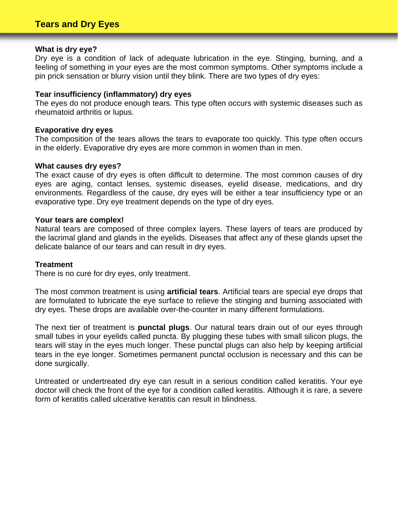#### **What is dry eye?**

Dry eye is a condition of lack of adequate lubrication in the eye. Stinging, burning, and a feeling of something in your eyes are the most common symptoms. Other symptoms include a pin prick sensation or blurry vision until they blink. There are two types of dry eyes:

# **Tear insufficiency (inflammatory) dry eyes**

The eyes do not produce enough tears. This type often occurs with systemic diseases such as rheumatoid arthritis or lupus.

## **Evaporative dry eyes**

The composition of the tears allows the tears to evaporate too quickly. This type often occurs in the elderly. Evaporative dry eyes are more common in women than in men.

#### **What causes dry eyes?**

The exact cause of dry eyes is often difficult to determine. The most common causes of dry eyes are aging, contact lenses, systemic diseases, eyelid disease, medications, and dry environments. Regardless of the cause, dry eyes will be either a tear insufficiency type or an evaporative type. Dry eye treatment depends on the type of dry eyes.

#### **Your tears are complex!**

Natural tears are composed of three complex layers. These layers of tears are produced by the lacrimal gland and glands in the eyelids. Diseases that affect any of these glands upset the delicate balance of our tears and can result in dry eyes.

## **Treatment**

There is no cure for dry eyes, only treatment.

The most common treatment is using **artificial tears**. Artificial tears are special eye drops that are formulated to lubricate the eye surface to relieve the stinging and burning associated with dry eyes. These drops are available over-the-counter in many different formulations.

The next tier of treatment is **punctal plugs**. Our natural tears drain out of our eyes through small tubes in your eyelids called puncta. By plugging these tubes with small silicon plugs, the tears will stay in the eyes much longer. These punctal plugs can also help by keeping artificial tears in the eye longer. Sometimes permanent punctal occlusion is necessary and this can be done surgically.

Untreated or undertreated dry eye can result in a serious condition called keratitis. Your eye doctor will check the front of the eye for a condition called keratitis. Although it is rare, a severe form of keratitis called ulcerative keratitis can result in blindness.